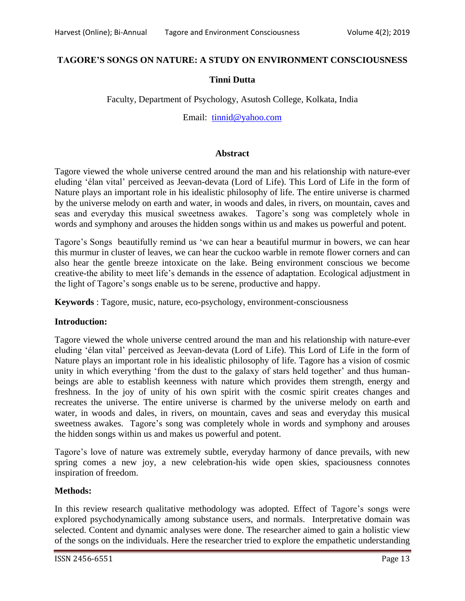# **TAGORE'S SONGS ON NATURE: A STUDY ON ENVIRONMENT CONSCIOUSNESS**

## **Tinni Dutta**

Faculty, Department of Psychology, Asutosh College, Kolkata, India

Email: [tinnid@yahoo.com](mailto:tinnid@yahoo.com)

### **Abstract**

Tagore viewed the whole universe centred around the man and his relationship with nature-ever eluding 'élan vital' perceived as Jeevan-devata (Lord of Life). This Lord of Life in the form of Nature plays an important role in his idealistic philosophy of life. The entire universe is charmed by the universe melody on earth and water, in woods and dales, in rivers, on mountain, caves and seas and everyday this musical sweetness awakes. Tagore's song was completely whole in words and symphony and arouses the hidden songs within us and makes us powerful and potent.

Tagore's Songs beautifully remind us 'we can hear a beautiful murmur in bowers, we can hear this murmur in cluster of leaves, we can hear the cuckoo warble in remote flower corners and can also hear the gentle breeze intoxicate on the lake. Being environment conscious we become creative-the ability to meet life's demands in the essence of adaptation. Ecological adjustment in the light of Tagore's songs enable us to be serene, productive and happy.

**Keywords** : Tagore, music, nature, eco-psychology, environment-consciousness

### **Introduction:**

Tagore viewed the whole universe centred around the man and his relationship with nature-ever eluding 'élan vital' perceived as Jeevan-devata (Lord of Life). This Lord of Life in the form of Nature plays an important role in his idealistic philosophy of life. Tagore has a vision of cosmic unity in which everything 'from the dust to the galaxy of stars held together' and thus humanbeings are able to establish keenness with nature which provides them strength, energy and freshness. In the joy of unity of his own spirit with the cosmic spirit creates changes and recreates the universe. The entire universe is charmed by the universe melody on earth and water, in woods and dales, in rivers, on mountain, caves and seas and everyday this musical sweetness awakes. Tagore's song was completely whole in words and symphony and arouses the hidden songs within us and makes us powerful and potent.

Tagore's love of nature was extremely subtle, everyday harmony of dance prevails, with new spring comes a new joy, a new celebration-his wide open skies, spaciousness connotes inspiration of freedom.

### **Methods:**

In this review research qualitative methodology was adopted. Effect of Tagore's songs were explored psychodynamically among substance users, and normals. Interpretative domain was selected. Content and dynamic analyses were done. The researcher aimed to gain a holistic view of the songs on the individuals. Here the researcher tried to explore the empathetic understanding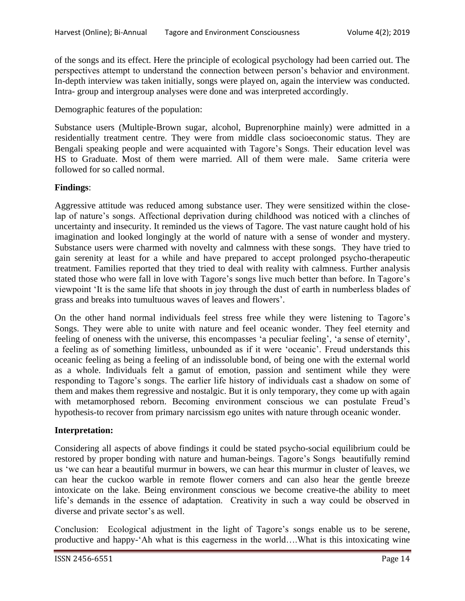of the songs and its effect. Here the principle of ecological psychology had been carried out. The perspectives attempt to understand the connection between person's behavior and environment. In-depth interview was taken initially, songs were played on, again the interview was conducted. Intra- group and intergroup analyses were done and was interpreted accordingly.

Demographic features of the population:

Substance users (Multiple-Brown sugar, alcohol, Buprenorphine mainly) were admitted in a residentially treatment centre. They were from middle class socioeconomic status. They are Bengali speaking people and were acquainted with Tagore's Songs. Their education level was HS to Graduate. Most of them were married. All of them were male. Same criteria were followed for so called normal.

## **Findings**:

Aggressive attitude was reduced among substance user. They were sensitized within the closelap of nature's songs. Affectional deprivation during childhood was noticed with a clinches of uncertainty and insecurity. It reminded us the views of Tagore. The vast nature caught hold of his imagination and looked longingly at the world of nature with a sense of wonder and mystery. Substance users were charmed with novelty and calmness with these songs. They have tried to gain serenity at least for a while and have prepared to accept prolonged psycho-therapeutic treatment. Families reported that they tried to deal with reality with calmness. Further analysis stated those who were fall in love with Tagore's songs live much better than before. In Tagore's viewpoint 'It is the same life that shoots in joy through the dust of earth in numberless blades of grass and breaks into tumultuous waves of leaves and flowers'.

On the other hand normal individuals feel stress free while they were listening to Tagore's Songs. They were able to unite with nature and feel oceanic wonder. They feel eternity and feeling of oneness with the universe, this encompasses 'a peculiar feeling', 'a sense of eternity', a feeling as of something limitless, unbounded as if it were 'oceanic'. Freud understands this oceanic feeling as being a feeling of an indissoluble bond, of being one with the external world as a whole. Individuals felt a gamut of emotion, passion and sentiment while they were responding to Tagore's songs. The earlier life history of individuals cast a shadow on some of them and makes them regressive and nostalgic. But it is only temporary, they come up with again with metamorphosed reborn. Becoming environment conscious we can postulate Freud's hypothesis-to recover from primary narcissism ego unites with nature through oceanic wonder.

### **Interpretation:**

Considering all aspects of above findings it could be stated psycho-social equilibrium could be restored by proper bonding with nature and human-beings. Tagore's Songs beautifully remind us 'we can hear a beautiful murmur in bowers, we can hear this murmur in cluster of leaves, we can hear the cuckoo warble in remote flower corners and can also hear the gentle breeze intoxicate on the lake. Being environment conscious we become creative-the ability to meet life's demands in the essence of adaptation. Creativity in such a way could be observed in diverse and private sector's as well.

Conclusion: Ecological adjustment in the light of Tagore's songs enable us to be serene, productive and happy-'Ah what is this eagerness in the world….What is this intoxicating wine